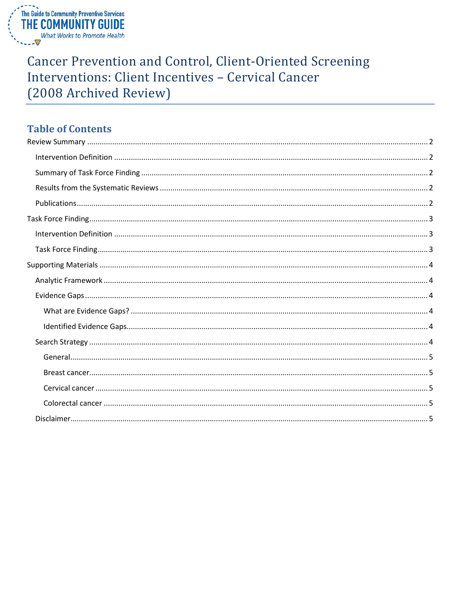

# **Cancer Prevention and Control, Client-Oriented Screening** Interventions: Client Incentives - Cervical Cancer (2008 Archived Review)

## **Table of Contents**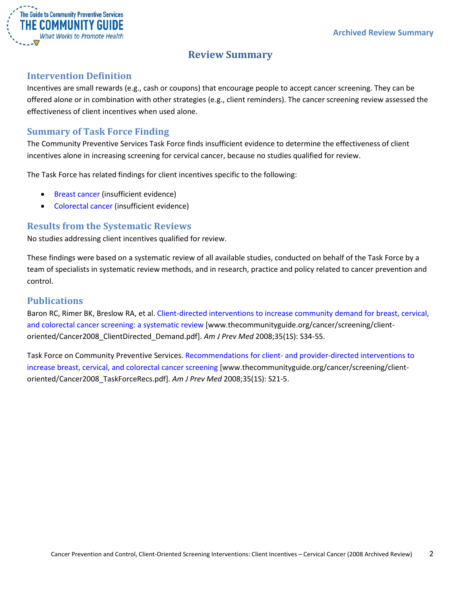

## **Review Summary**

## <span id="page-1-1"></span><span id="page-1-0"></span>**Intervention Definition**

Incentives are small rewards (e.g., cash or coupons) that encourage people to accept cancer screening. They can be offered alone or in combination with other strategies (e.g., client reminders). The cancer screening review assessed the effectiveness of client incentives when used alone.

## <span id="page-1-2"></span>**Summary of Task Force Finding**

The Community Preventive Services Task Force finds insufficient evidence to determine the effectiveness of client incentives alone in increasing screening for cervical cancer, because no studies qualified for review.

The Task Force has related findings for client incentives specific to the following:

- Breast cancer (insufficient evidence)
- Colorectal cancer (insufficient evidence)

## <span id="page-1-3"></span>**Results from the Systematic Reviews**

No studies addressing client incentives qualified for review.

These findings were based on a systematic review of all available studies, conducted on behalf of the Task Force by a team of specialists in systematic review methods, and in research, practice and policy related to cancer prevention and control.

### <span id="page-1-4"></span>**Publications**

Baron RC, Rimer BK, Breslow RA, et al. [Client-directed interventions to increase community demand for breast, cervical,](http://www.thecommunityguide.org/cancer/screening/client-oriented/Cancer2008_ClientDirected_Demand.pdf)  [and colorectal cancer screening: a systematic review](http://www.thecommunityguide.org/cancer/screening/client-oriented/Cancer2008_ClientDirected_Demand.pdf) [www.thecommunityguide.org/cancer/screening/clientoriented/Cancer2008\_ClientDirected\_Demand.pdf]. *Am J Prev Med* 2008;35(1S): S34-55.

Task Force on Community Preventive Services. Recommendations for client- and [provider-directed interventions to](http://www.thecommunityguide.org/cancer/screening/client-oriented/Cancer2008_TaskForceRecs.pdf)  [increase breast, cervical, and colorectal cancer screening](http://www.thecommunityguide.org/cancer/screening/client-oriented/Cancer2008_TaskForceRecs.pdf) [www.thecommunityguide.org/cancer/screening/clientoriented/Cancer2008\_TaskForceRecs.pdf]. *Am J Prev Med* 2008;35(1S): S21-5.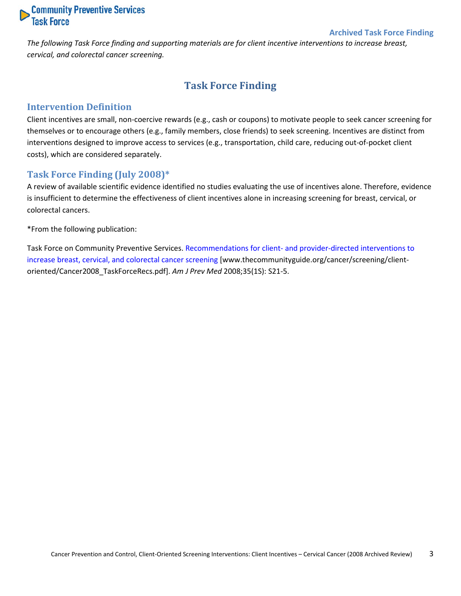

#### **Archived Task Force Finding**

<span id="page-2-0"></span>*The following Task Force finding and supporting materials are for client incentive interventions to increase breast, cervical, and colorectal cancer screening.*

## **Task Force Finding**

#### <span id="page-2-1"></span>**Intervention Definition**

Client incentives are small, non-coercive rewards (e.g., cash or coupons) to motivate people to seek cancer screening for themselves or to encourage others (e.g., family members, close friends) to seek screening. Incentives are distinct from interventions designed to improve access to services (e.g., transportation, child care, reducing out-of-pocket client costs), which are considered separately.

#### <span id="page-2-2"></span>**Task Force Finding (July 2008)\***

A review of available scientific evidence identified no studies evaluating the use of incentives alone. Therefore, evidence is insufficient to determine the effectiveness of client incentives alone in increasing screening for breast, cervical, or colorectal cancers.

\*From the following publication:

Task Force on Community Preventive Services. Recommendations for client- [and provider-directed interventions to](http://www.thecommunityguide.org/cancer/screening/client-oriented/Cancer2008_TaskForceRecs.pdf)  [increase breast, cervical, and colorectal cancer screening](http://www.thecommunityguide.org/cancer/screening/client-oriented/Cancer2008_TaskForceRecs.pdf) [www.thecommunityguide.org/cancer/screening/clientoriented/Cancer2008\_TaskForceRecs.pdf]. *Am J Prev Med* 2008;35(1S): S21-5.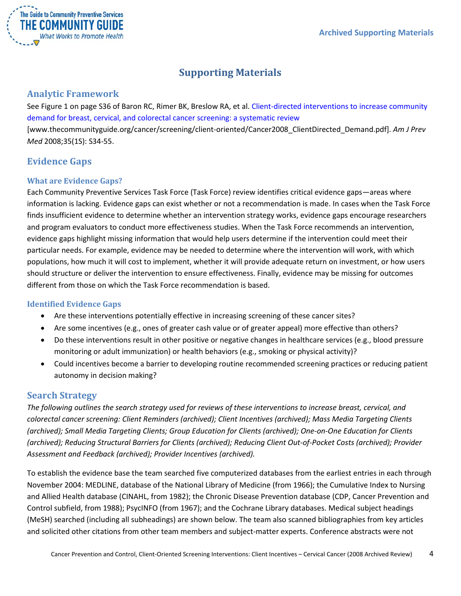

## **Supporting Materials**

## <span id="page-3-1"></span><span id="page-3-0"></span>**Analytic Framework**

See Figure 1 on page S36 of Baron RC, Rimer BK, Breslow RA, et al. [Client-directed interventions to increase community](http://www.thecommunityguide.org/cancer/screening/client-oriented/Cancer2008_ClientDirected_Demand.pdf)  demand for breast, [cervical, and colorectal cancer screening: a systematic review](http://www.thecommunityguide.org/cancer/screening/client-oriented/Cancer2008_ClientDirected_Demand.pdf) [www.thecommunityguide.org/cancer/screening/client-oriented/Cancer2008\_ClientDirected\_Demand.pdf]. *Am J Prev Med* 2008;35(1S): S34-55.

## <span id="page-3-2"></span>**Evidence Gaps**

### <span id="page-3-3"></span>**What are Evidence Gaps?**

Each Community Preventive Services Task Force (Task Force) review identifies critical evidence gaps—areas where information is lacking. Evidence gaps can exist whether or not a recommendation is made. In cases when the Task Force finds insufficient evidence to determine whether an intervention strategy works, evidence gaps encourage researchers and program evaluators to conduct more effectiveness studies. When the Task Force recommends an intervention, evidence gaps highlight missing information that would help users determine if the intervention could meet their particular needs. For example, evidence may be needed to determine where the intervention will work, with which populations, how much it will cost to implement, whether it will provide adequate return on investment, or how users should structure or deliver the intervention to ensure effectiveness. Finally, evidence may be missing for outcomes different from those on which the Task Force recommendation is based.

### <span id="page-3-4"></span>**Identified Evidence Gaps**

- Are these interventions potentially effective in increasing screening of these cancer sites?
- Are some incentives (e.g., ones of greater cash value or of greater appeal) more effective than others?
- Do these interventions result in other positive or negative changes in healthcare services (e.g., blood pressure monitoring or adult immunization) or health behaviors (e.g., smoking or physical activity)?
- Could incentives become a barrier to developing routine recommended screening practices or reducing patient autonomy in decision making?

## <span id="page-3-5"></span>**Search Strategy**

*The following outlines the search strategy used for reviews of these interventions to increase breast, cervical, and colorectal cancer screening: Client Reminders (archived); Client Incentives (archived); Mass Media Targeting Clients (archived); Small Media Targeting Clients; Group Education for Clients (archived); One-on-One Education for Clients (archived); Reducing Structural Barriers for Clients (archived); Reducing Client Out-of-Pocket Costs (archived); Provider Assessment and Feedback (archived); Provider Incentives (archived).*

To establish the evidence base the team searched five computerized databases from the earliest entries in each through November 2004: MEDLINE, database of the National Library of Medicine (from 1966); the Cumulative Index to Nursing and Allied Health database (CINAHL, from 1982); the Chronic Disease Prevention database (CDP, Cancer Prevention and Control subfield, from 1988); PsycINFO (from 1967); and the Cochrane Library databases. Medical subject headings (MeSH) searched (including all subheadings) are shown below. The team also scanned bibliographies from key articles and solicited other citations from other team members and subject-matter experts. Conference abstracts were not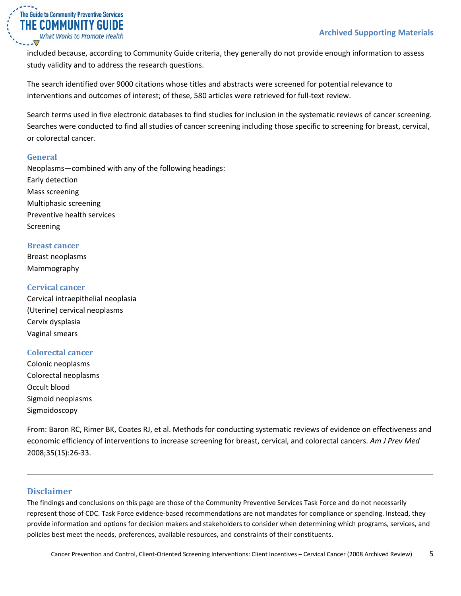

included because, according to Community Guide criteria, they generally do not provide enough information to assess study validity and to address the research questions.

The search identified over 9000 citations whose titles and abstracts were screened for potential relevance to interventions and outcomes of interest; of these, 580 articles were retrieved for full-text review.

Search terms used in five electronic databases to find studies for inclusion in the systematic reviews of cancer screening. Searches were conducted to find all studies of cancer screening including those specific to screening for breast, cervical, or colorectal cancer.

#### <span id="page-4-0"></span>**General**

Neoplasms—combined with any of the following headings: Early detection Mass screening Multiphasic screening Preventive health services Screening

#### <span id="page-4-1"></span>**Breast cancer**

Breast neoplasms Mammography

#### <span id="page-4-2"></span>**Cervical cancer**

Cervical intraepithelial neoplasia (Uterine) cervical neoplasms Cervix dysplasia Vaginal smears

#### <span id="page-4-3"></span>**Colorectal cancer**

Colonic neoplasms Colorectal neoplasms Occult blood Sigmoid neoplasms Sigmoidoscopy

From: Baron RC, Rimer BK, Coates RJ, et al. Methods for conducting systematic reviews of evidence on effectiveness and economic efficiency of interventions to increase screening for breast, cervical, and colorectal cancers. *Am J Prev Med* 2008;35(1S):26-33.

### <span id="page-4-4"></span>**Disclaimer**

The findings and conclusions on this page are those of the Community Preventive Services Task Force and do not necessarily represent those of CDC. Task Force evidence-based recommendations are not mandates for compliance or spending. Instead, they provide information and options for decision makers and stakeholders to consider when determining which programs, services, and policies best meet the needs, preferences, available resources, and constraints of their constituents.